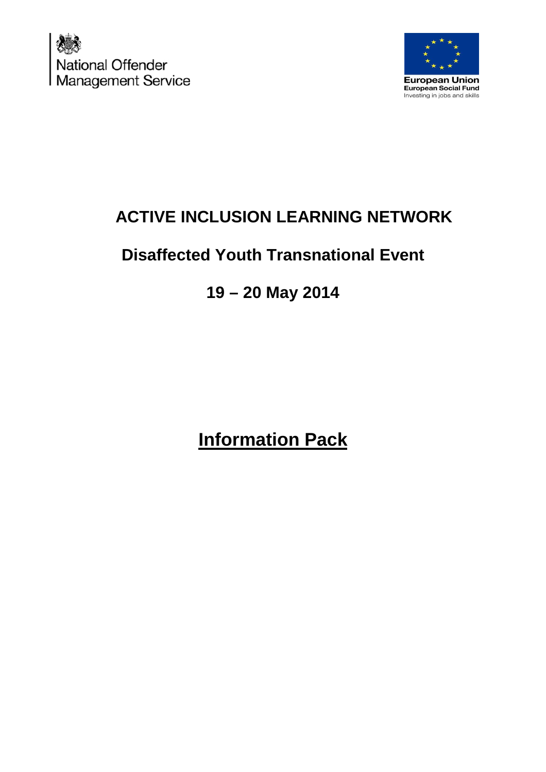



# **ACTIVE INCLUSION LEARNING NETWORK**

# **Disaffected Youth Transnational Event**

# **19 – 20 May 2014**

# **Information Pack**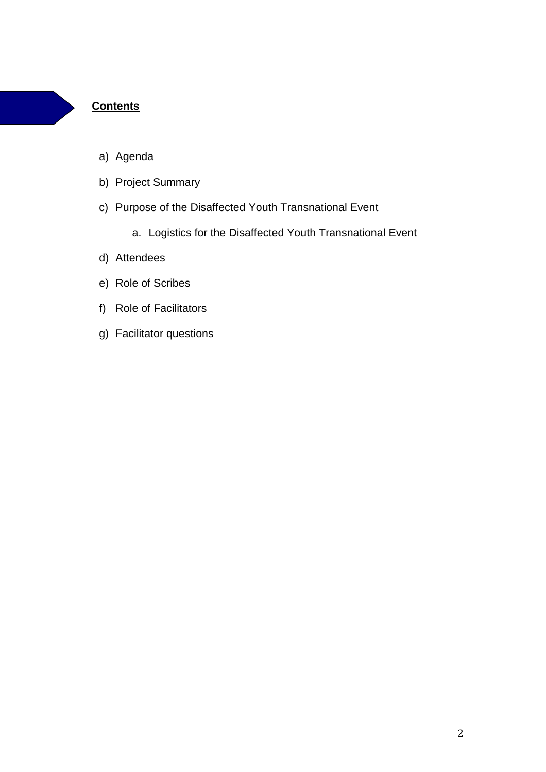### **Contents**

- a) Agenda
- b) Project Summary
- c) Purpose of the Disaffected Youth Transnational Event
	- a. Logistics for the Disaffected Youth Transnational Event
- d) Attendees
- e) Role of Scribes
- f) Role of Facilitators
- g) Facilitator questions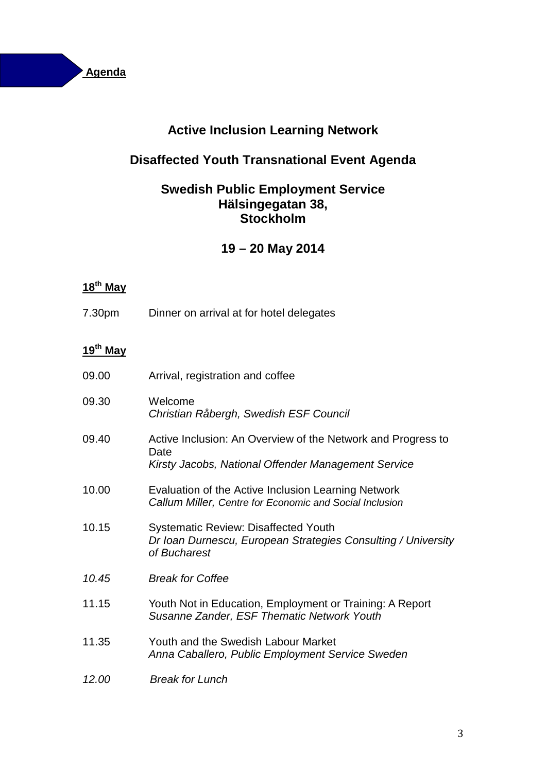

# **Active Inclusion Learning Network**

# **Disaffected Youth Transnational Event Agenda**

# **Swedish Public Employment Service Hälsingegatan 38, Stockholm**

# **19 – 20 May 2014**

# **18th May**

7.30pm Dinner on arrival at for hotel delegates

# **19th May**

| 09.00 | Arrival, registration and coffee                                                                                             |
|-------|------------------------------------------------------------------------------------------------------------------------------|
| 09.30 | Welcome<br>Christian Råbergh, Swedish ESF Council                                                                            |
| 09.40 | Active Inclusion: An Overview of the Network and Progress to<br>Date<br>Kirsty Jacobs, National Offender Management Service  |
| 10.00 | Evaluation of the Active Inclusion Learning Network<br>Callum Miller, Centre for Economic and Social Inclusion               |
| 10.15 | <b>Systematic Review: Disaffected Youth</b><br>Dr Ioan Durnescu, European Strategies Consulting / University<br>of Bucharest |
| 10.45 | <b>Break for Coffee</b>                                                                                                      |
| 11.15 | Youth Not in Education, Employment or Training: A Report<br>Susanne Zander, ESF Thematic Network Youth                       |
| 11.35 | Youth and the Swedish Labour Market<br>Anna Caballero, Public Employment Service Sweden                                      |
| 12.00 | <b>Break for Lunch</b>                                                                                                       |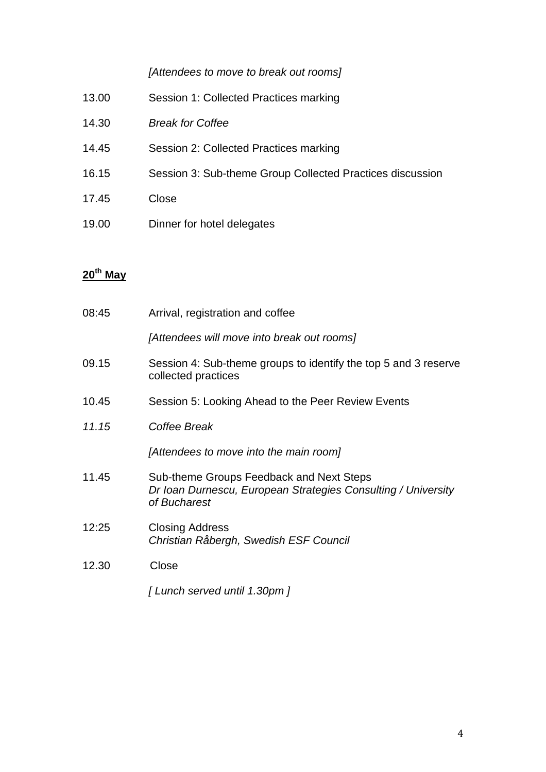### [Attendees to move to break out rooms]

- 13.00 Session 1: Collected Practices marking
- 14.30 Break for Coffee
- 14.45 Session 2: Collected Practices marking
- 16.15 Session 3: Sub-theme Group Collected Practices discussion
- 17.45 Close
- 19.00 Dinner for hotel delegates

# **20th May**

| 08:45 | Arrival, registration and coffee                                                                                          |
|-------|---------------------------------------------------------------------------------------------------------------------------|
|       | [Attendees will move into break out rooms]                                                                                |
| 09.15 | Session 4: Sub-theme groups to identify the top 5 and 3 reserve<br>collected practices                                    |
| 10.45 | Session 5: Looking Ahead to the Peer Review Events                                                                        |
| 11.15 | Coffee Break                                                                                                              |
|       | [Attendees to move into the main room]                                                                                    |
| 11.45 | Sub-theme Groups Feedback and Next Steps<br>Dr Ioan Durnescu, European Strategies Consulting / University<br>of Bucharest |
| 12:25 | <b>Closing Address</b><br>Christian Råbergh, Swedish ESF Council                                                          |
| 12.30 | Close                                                                                                                     |
|       | [Lunch served until 1.30pm]                                                                                               |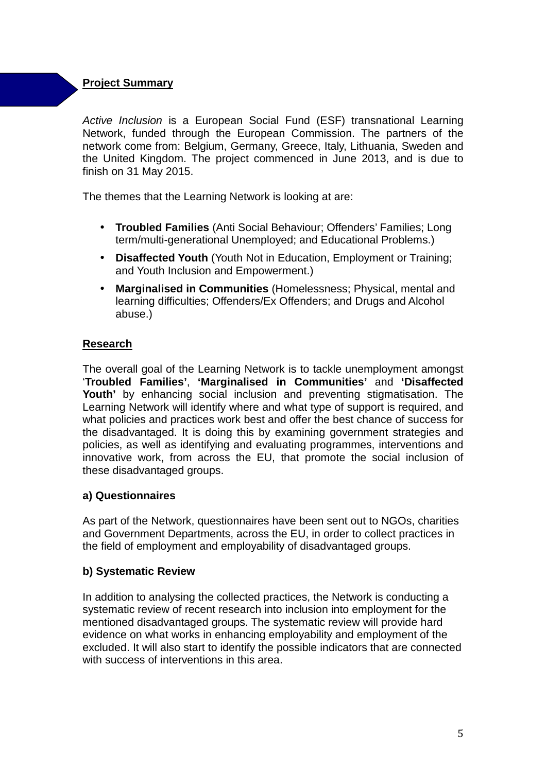## **Project Summary**

Active Inclusion is a European Social Fund (ESF) transnational Learning Network, funded through the European Commission. The partners of the network come from: Belgium, Germany, Greece, Italy, Lithuania, Sweden and the United Kingdom. The project commenced in June 2013, and is due to finish on 31 May 2015.

The themes that the Learning Network is looking at are:

- **Troubled Families** (Anti Social Behaviour; Offenders' Families; Long term/multi-generational Unemployed; and Educational Problems.)
- **Disaffected Youth** (Youth Not in Education, Employment or Training; and Youth Inclusion and Empowerment.)
- **Marginalised in Communities** (Homelessness; Physical, mental and learning difficulties; Offenders/Ex Offenders; and Drugs and Alcohol abuse.)

### **Research**

The overall goal of the Learning Network is to tackle unemployment amongst '**Troubled Families'**, **'Marginalised in Communities'** and **'Disaffected Youth'** by enhancing social inclusion and preventing stigmatisation. The Learning Network will identify where and what type of support is required, and what policies and practices work best and offer the best chance of success for the disadvantaged. It is doing this by examining government strategies and policies, as well as identifying and evaluating programmes, interventions and innovative work, from across the EU, that promote the social inclusion of these disadvantaged groups.

### **a) Questionnaires**

As part of the Network, questionnaires have been sent out to NGOs, charities and Government Departments, across the EU, in order to collect practices in the field of employment and employability of disadvantaged groups.

### **b) Systematic Review**

In addition to analysing the collected practices, the Network is conducting a systematic review of recent research into inclusion into employment for the mentioned disadvantaged groups. The systematic review will provide hard evidence on what works in enhancing employability and employment of the excluded. It will also start to identify the possible indicators that are connected with success of interventions in this area.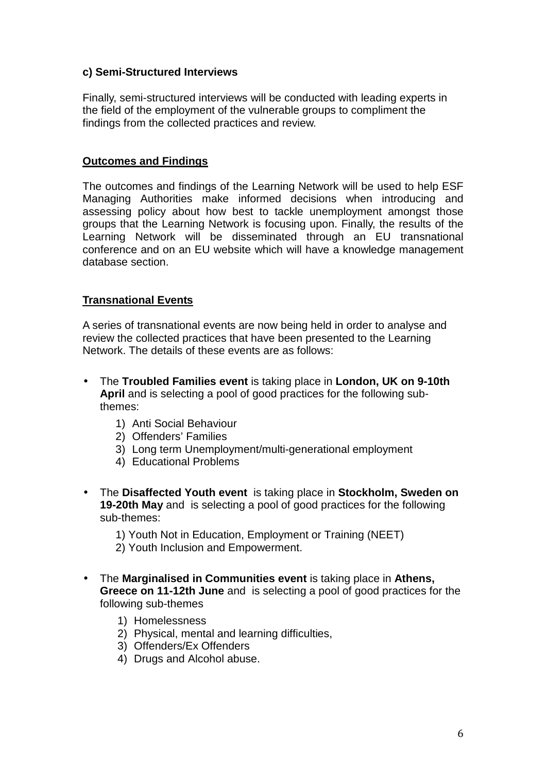### **c) Semi-Structured Interviews**

Finally, semi-structured interviews will be conducted with leading experts in the field of the employment of the vulnerable groups to compliment the findings from the collected practices and review.

### **Outcomes and Findings**

The outcomes and findings of the Learning Network will be used to help ESF Managing Authorities make informed decisions when introducing and assessing policy about how best to tackle unemployment amongst those groups that the Learning Network is focusing upon. Finally, the results of the Learning Network will be disseminated through an EU transnational conference and on an EU website which will have a knowledge management database section.

### **Transnational Events**

A series of transnational events are now being held in order to analyse and review the collected practices that have been presented to the Learning Network. The details of these events are as follows:

- The **Troubled Families event** is taking place in **London, UK on 9-10th April** and is selecting a pool of good practices for the following subthemes:
	- 1) Anti Social Behaviour
	- 2) Offenders' Families
	- 3) Long term Unemployment/multi-generational employment
	- 4) Educational Problems
- The **Disaffected Youth event** is taking place in **Stockholm, Sweden on 19-20th May** and is selecting a pool of good practices for the following sub-themes:

1) Youth Not in Education, Employment or Training (NEET) 2) Youth Inclusion and Empowerment.

- 
- The **Marginalised in Communities event** is taking place in **Athens, Greece on 11-12th June** and is selecting a pool of good practices for the following sub-themes
	- 1) Homelessness
	- 2) Physical, mental and learning difficulties,
	- 3) Offenders/Ex Offenders
	- 4) Drugs and Alcohol abuse.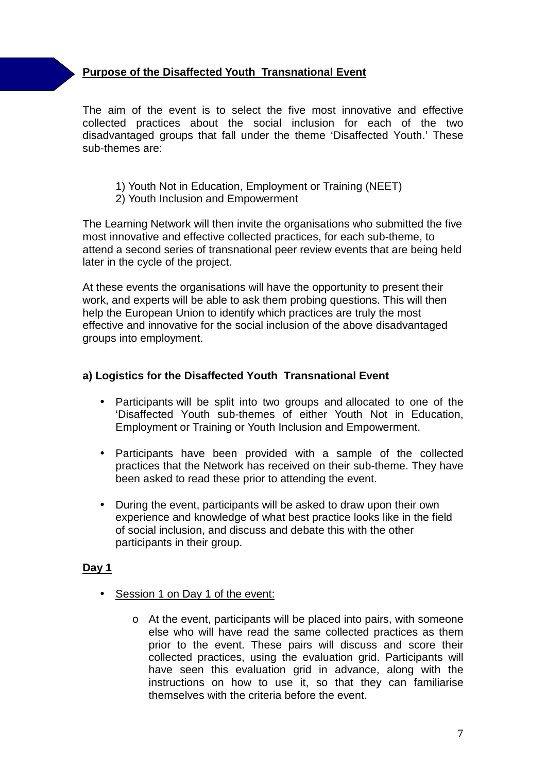## **Purpose of the Disaffected Youth Transnational Event**

The aim of the event is to select the five most innovative and effective collected practices about the social inclusion for each of the two disadvantaged groups that fall under the theme 'Disaffected Youth.' These sub-themes are:

- 1) Youth Not in Education, Employment or Training (NEET)
- 2) Youth Inclusion and Empowerment

The Learning Network will then invite the organisations who submitted the five most innovative and effective collected practices, for each sub-theme, to attend a second series of transnational peer review events that are being held later in the cycle of the project.

At these events the organisations will have the opportunity to present their work, and experts will be able to ask them probing questions. This will then help the European Union to identify which practices are truly the most effective and innovative for the social inclusion of the above disadvantaged groups into employment.

### **a) Logistics for the Disaffected Youth Transnational Event**

- Participants will be split into two groups and allocated to one of the 'Disaffected Youth sub-themes of either Youth Not in Education, Employment or Training or Youth Inclusion and Empowerment.
- Participants have been provided with a sample of the collected practices that the Network has received on their sub-theme. They have been asked to read these prior to attending the event.
- During the event, participants will be asked to draw upon their own experience and knowledge of what best practice looks like in the field of social inclusion, and discuss and debate this with the other participants in their group.

### **Day 1**

- Session 1 on Day 1 of the event:
	- o At the event, participants will be placed into pairs, with someone else who will have read the same collected practices as them prior to the event. These pairs will discuss and score their collected practices, using the evaluation grid. Participants will have seen this evaluation grid in advance, along with the instructions on how to use it, so that they can familiarise themselves with the criteria before the event.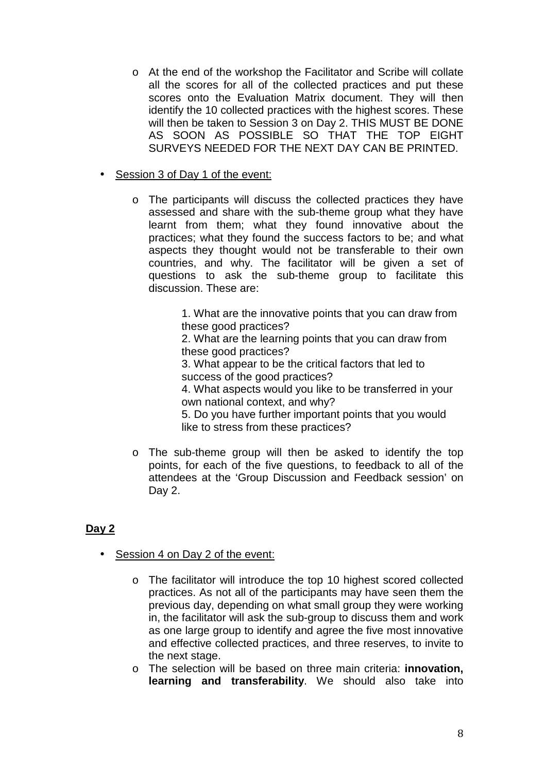- o At the end of the workshop the Facilitator and Scribe will collate all the scores for all of the collected practices and put these scores onto the Evaluation Matrix document. They will then identify the 10 collected practices with the highest scores. These will then be taken to Session 3 on Day 2. THIS MUST BE DONE AS SOON AS POSSIBLE SO THAT THE TOP EIGHT SURVEYS NEEDED FOR THE NEXT DAY CAN BE PRINTED.
- Session 3 of Day 1 of the event:
	- o The participants will discuss the collected practices they have assessed and share with the sub-theme group what they have learnt from them; what they found innovative about the practices; what they found the success factors to be; and what aspects they thought would not be transferable to their own countries, and why. The facilitator will be given a set of questions to ask the sub-theme group to facilitate this discussion. These are:

1. What are the innovative points that you can draw from these good practices?

2. What are the learning points that you can draw from these good practices?

3. What appear to be the critical factors that led to success of the good practices?

4. What aspects would you like to be transferred in your own national context, and why?

5. Do you have further important points that you would like to stress from these practices?

o The sub-theme group will then be asked to identify the top points, for each of the five questions, to feedback to all of the attendees at the 'Group Discussion and Feedback session' on Day 2.

## **Day 2**

- Session 4 on Day 2 of the event:
	- o The facilitator will introduce the top 10 highest scored collected practices. As not all of the participants may have seen them the previous day, depending on what small group they were working in, the facilitator will ask the sub-group to discuss them and work as one large group to identify and agree the five most innovative and effective collected practices, and three reserves, to invite to the next stage.

o The selection will be based on three main criteria: **innovation, learning and transferability**. We should also take into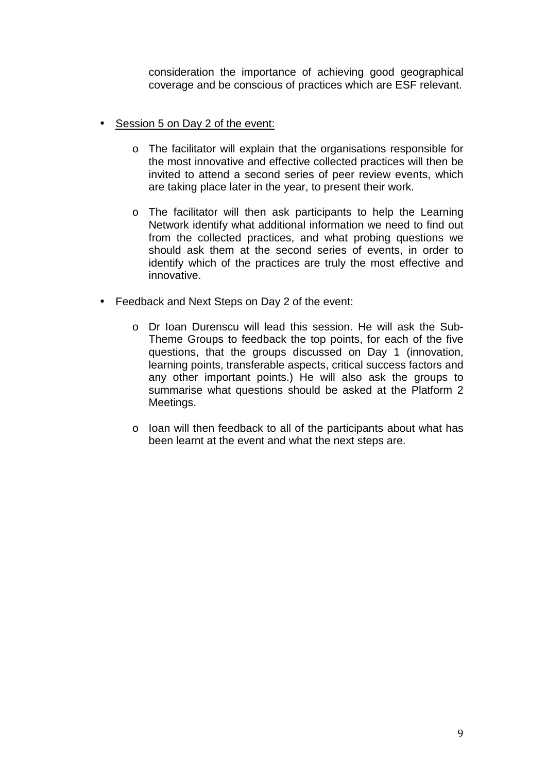consideration the importance of achieving good geographical coverage and be conscious of practices which are ESF relevant.

- Session 5 on Day 2 of the event:
	- o The facilitator will explain that the organisations responsible for the most innovative and effective collected practices will then be invited to attend a second series of peer review events, which are taking place later in the year, to present their work.
	- o The facilitator will then ask participants to help the Learning Network identify what additional information we need to find out from the collected practices, and what probing questions we should ask them at the second series of events, in order to identify which of the practices are truly the most effective and innovative.
- Feedback and Next Steps on Day 2 of the event:
	- o Dr Ioan Durenscu will lead this session. He will ask the Sub-Theme Groups to feedback the top points, for each of the five questions, that the groups discussed on Day 1 (innovation, learning points, transferable aspects, critical success factors and any other important points.) He will also ask the groups to summarise what questions should be asked at the Platform 2 Meetings.
	- o Ioan will then feedback to all of the participants about what has been learnt at the event and what the next steps are.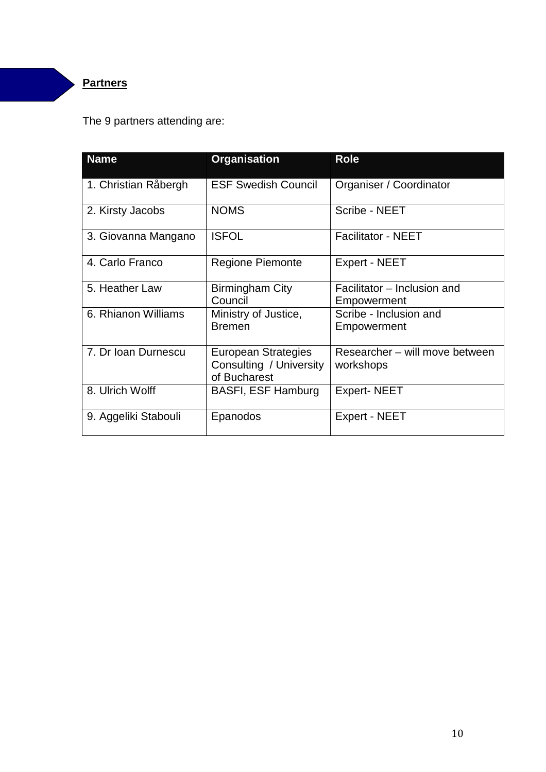# **Partners**

# The 9 partners attending are:

| <b>Name</b>          | <b>Organisation</b>                                                   | <b>Role</b>                                 |
|----------------------|-----------------------------------------------------------------------|---------------------------------------------|
| 1. Christian Råbergh | <b>ESF Swedish Council</b>                                            | Organiser / Coordinator                     |
| 2. Kirsty Jacobs     | <b>NOMS</b>                                                           | Scribe - NEET                               |
| 3. Giovanna Mangano  | <b>ISFOL</b>                                                          | <b>Facilitator - NEET</b>                   |
| 4. Carlo Franco      | <b>Regione Piemonte</b>                                               | Expert - NEET                               |
| 5. Heather Law       | Birmingham City<br>Council                                            | Facilitator – Inclusion and<br>Empowerment  |
| 6. Rhianon Williams  | Ministry of Justice,<br><b>Bremen</b>                                 | Scribe - Inclusion and<br>Empowerment       |
| 7. Dr Ioan Durnescu  | <b>European Strategies</b><br>Consulting / University<br>of Bucharest | Researcher – will move between<br>workshops |
| 8. Ulrich Wolff      | <b>BASFI, ESF Hamburg</b>                                             | <b>Expert-NEET</b>                          |
| 9. Aggeliki Stabouli | Epanodos                                                              | Expert - NEET                               |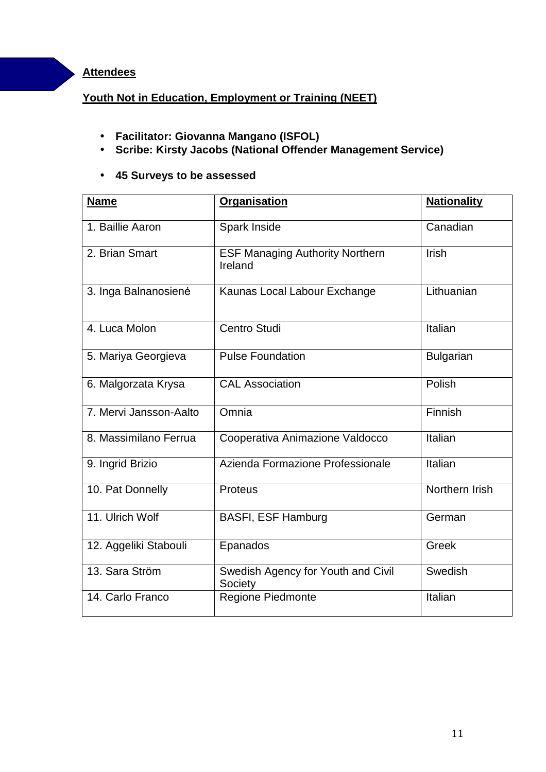### **Attendees**

### **Youth Not in Education, Employment or Training (NEET)**

- **Facilitator: Giovanna Mangano (ISFOL)**
- **Scribe: Kirsty Jacobs (National Offender Management Service)**

### • **45 Surveys to be assessed**

| <b>Name</b>            | <b>Organisation</b>                               | <b>Nationality</b> |
|------------------------|---------------------------------------------------|--------------------|
| 1. Baillie Aaron       | Spark Inside                                      | Canadian           |
| 2. Brian Smart         | <b>ESF Managing Authority Northern</b><br>Ireland | Irish              |
| 3. Inga Balnanosienė   | Kaunas Local Labour Exchange                      | Lithuanian         |
| 4. Luca Molon          | <b>Centro Studi</b>                               | Italian            |
| 5. Mariya Georgieva    | <b>Pulse Foundation</b>                           | <b>Bulgarian</b>   |
| 6. Malgorzata Krysa    | <b>CAL Association</b>                            | Polish             |
| 7. Mervi Jansson-Aalto | Omnia                                             | Finnish            |
| 8. Massimilano Ferrua  | Cooperativa Animazione Valdocco                   | Italian            |
| 9. Ingrid Brizio       | Azienda Formazione Professionale                  | Italian            |
| 10. Pat Donnelly       | <b>Proteus</b>                                    | Northern Irish     |
| 11. Ulrich Wolf        | <b>BASFI, ESF Hamburg</b>                         | German             |
| 12. Aggeliki Stabouli  | Epanados                                          | <b>Greek</b>       |
| 13. Sara Ström         | Swedish Agency for Youth and Civil<br>Society     | Swedish            |
| 14. Carlo Franco       | Regione Piedmonte                                 | Italian            |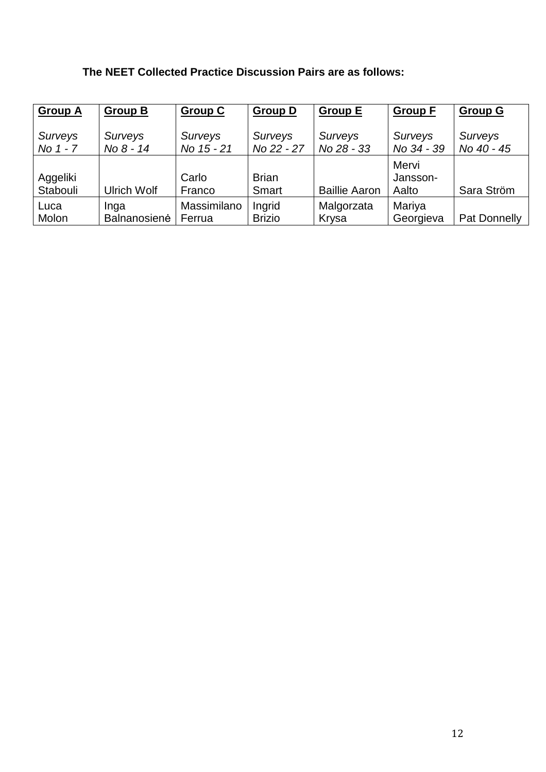## **The NEET Collected Practice Discussion Pairs are as follows:**

| <b>Group A</b>       | <b>Group B</b>     | <b>Group C</b>  | <b>Group D</b>        | <b>Group E</b>       | <b>Group F</b>             | <b>Group G</b> |
|----------------------|--------------------|-----------------|-----------------------|----------------------|----------------------------|----------------|
| Surveys              | Surveys            | Surveys         | Surveys               | Surveys              | <b>Surveys</b>             | Surveys        |
| No 1 - 7             | No 8 - 14          | No 15 - 21      | No 22 - 27            | No 28 - 33           | No 34 - 39                 | No 40 - 45     |
| Aggeliki<br>Stabouli | <b>Ulrich Wolf</b> | Carlo<br>Franco | <b>Brian</b><br>Smart | <b>Baillie Aaron</b> | Mervi<br>Jansson-<br>Aalto | Sara Ström     |
| Luca                 | Inga               | Massimilano     | Ingrid                | Malgorzata           | Mariya                     | Pat Donnelly   |
| Molon                | Balnanosienė       | Ferrua          | <b>Brizio</b>         | Krysa                | Georgieva                  |                |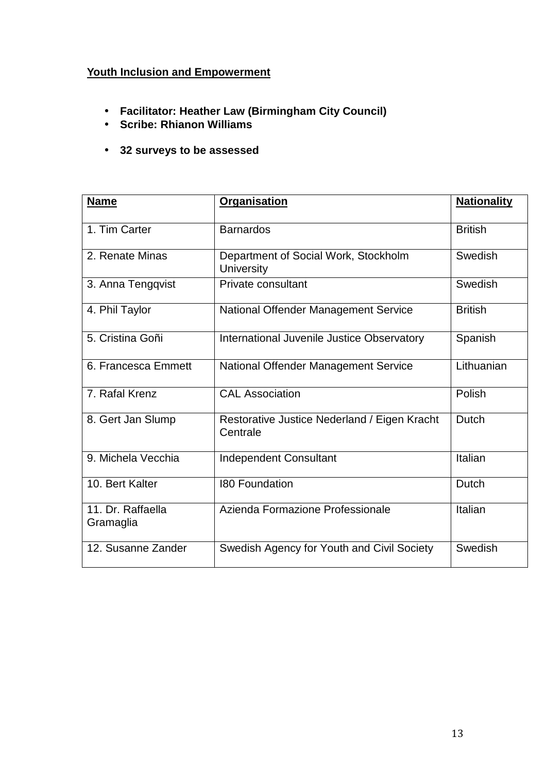# **Youth Inclusion and Empowerment**

- **Facilitator: Heather Law (Birmingham City Council)**
- **Scribe: Rhianon Williams**
- **32 surveys to be assessed**

| <b>Name</b>                    | <b>Organisation</b>                                       | <b>Nationality</b> |
|--------------------------------|-----------------------------------------------------------|--------------------|
| 1. Tim Carter                  | <b>Barnardos</b>                                          | <b>British</b>     |
| 2. Renate Minas                | Department of Social Work, Stockholm<br><b>University</b> |                    |
| 3. Anna Tengqvist              | Private consultant                                        | Swedish            |
| 4. Phil Taylor                 | National Offender Management Service                      | <b>British</b>     |
| 5. Cristina Goñi               | International Juvenile Justice Observatory                | Spanish            |
| 6. Francesca Emmett            | National Offender Management Service                      | Lithuanian         |
| 7. Rafal Krenz                 | <b>CAL Association</b>                                    | Polish             |
| 8. Gert Jan Slump              | Restorative Justice Nederland / Eigen Kracht<br>Centrale  | Dutch              |
| 9. Michela Vecchia             | <b>Independent Consultant</b>                             | Italian            |
| 10. Bert Kalter                | <b>180 Foundation</b>                                     | Dutch              |
| 11. Dr. Raffaella<br>Gramaglia | Azienda Formazione Professionale                          | Italian            |
| 12. Susanne Zander             | Swedish Agency for Youth and Civil Society                | Swedish            |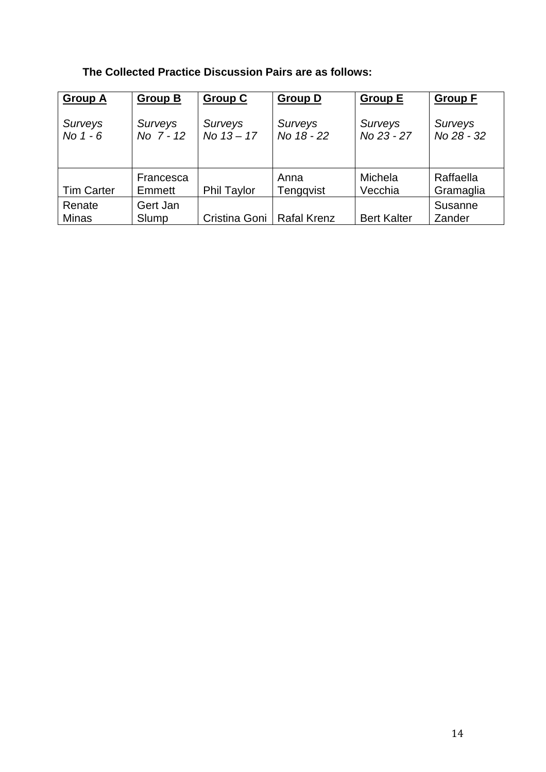## **The Collected Practice Discussion Pairs are as follows:**

| <b>Group A</b>               | <b>Group B</b>       | <b>Group C</b>          | <b>Group D</b>               | <b>Group E</b>        | <b>Group F</b>         |
|------------------------------|----------------------|-------------------------|------------------------------|-----------------------|------------------------|
| <b>Surveys</b><br>No $1 - 6$ | Surveys<br>No 7 - 12 | Surveys<br>No $13 - 17$ | <b>Surveys</b><br>No 18 - 22 | Surveys<br>No 23 - 27 | Surveys<br>No 28 - 32  |
| <b>Tim Carter</b>            | Francesca<br>Emmett  | <b>Phil Taylor</b>      | Anna<br>Tengqvist            | Michela<br>Vecchia    | Raffaella<br>Gramaglia |
| Renate<br><b>Minas</b>       | Gert Jan<br>Slump    | Cristina Goni           | <b>Rafal Krenz</b>           | <b>Bert Kalter</b>    | Susanne<br>Zander      |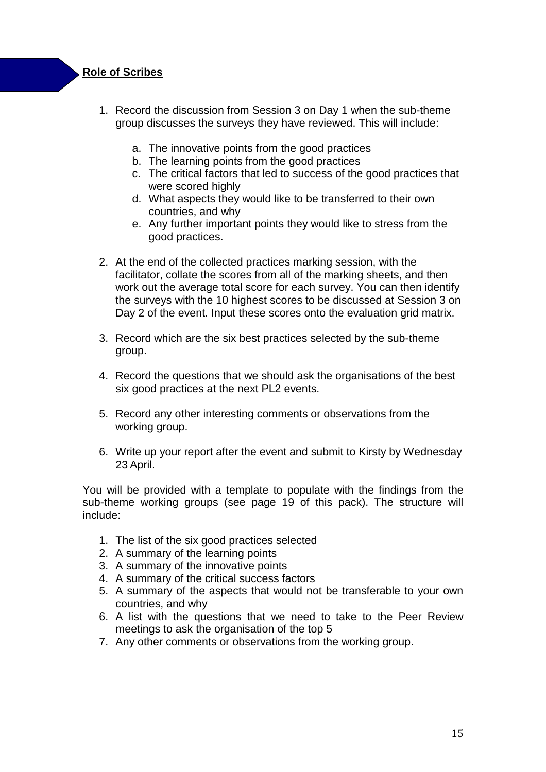### **Role of Scribes**

- 1. Record the discussion from Session 3 on Day 1 when the sub-theme group discusses the surveys they have reviewed. This will include:
	- a. The innovative points from the good practices
	- b. The learning points from the good practices
	- c. The critical factors that led to success of the good practices that were scored highly
	- d. What aspects they would like to be transferred to their own countries, and why
	- e. Any further important points they would like to stress from the good practices.
- 2. At the end of the collected practices marking session, with the facilitator, collate the scores from all of the marking sheets, and then work out the average total score for each survey. You can then identify the surveys with the 10 highest scores to be discussed at Session 3 on Day 2 of the event. Input these scores onto the evaluation grid matrix.
- 3. Record which are the six best practices selected by the sub-theme group.
- 4. Record the questions that we should ask the organisations of the best six good practices at the next PL2 events.
- 5. Record any other interesting comments or observations from the working group.
- 6. Write up your report after the event and submit to Kirsty by Wednesday 23 April.

You will be provided with a template to populate with the findings from the sub-theme working groups (see page 19 of this pack). The structure will include:

- 1. The list of the six good practices selected
- 2. A summary of the learning points
- 3. A summary of the innovative points
- 4. A summary of the critical success factors
- 5. A summary of the aspects that would not be transferable to your own countries, and why
- 6. A list with the questions that we need to take to the Peer Review meetings to ask the organisation of the top 5
- 7. Any other comments or observations from the working group.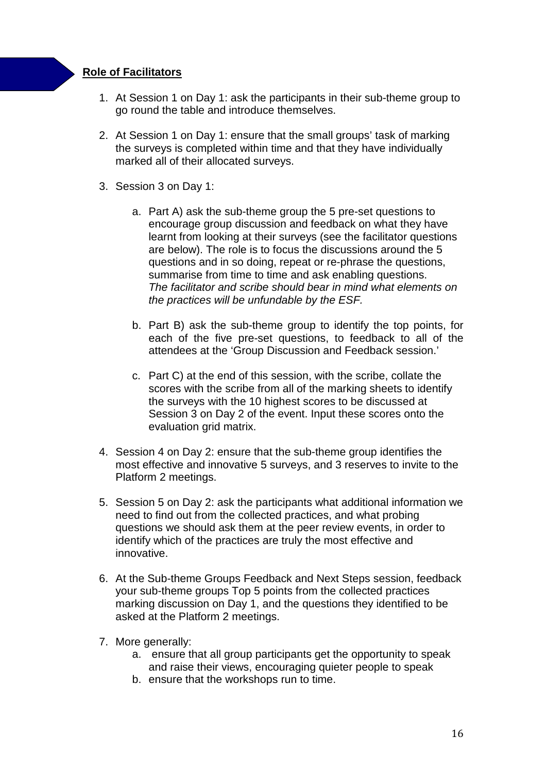### **Role of Facilitators**

- 1. At Session 1 on Day 1: ask the participants in their sub-theme group to go round the table and introduce themselves.
- 2. At Session 1 on Day 1: ensure that the small groups' task of marking the surveys is completed within time and that they have individually marked all of their allocated surveys.
- 3. Session 3 on Day 1:
	- a. Part A) ask the sub-theme group the 5 pre-set questions to encourage group discussion and feedback on what they have learnt from looking at their surveys (see the facilitator questions are below). The role is to focus the discussions around the 5 questions and in so doing, repeat or re-phrase the questions, summarise from time to time and ask enabling questions. The facilitator and scribe should bear in mind what elements on the practices will be unfundable by the ESF.
	- b. Part B) ask the sub-theme group to identify the top points, for each of the five pre-set questions, to feedback to all of the attendees at the 'Group Discussion and Feedback session.'
	- c. Part C) at the end of this session, with the scribe, collate the scores with the scribe from all of the marking sheets to identify the surveys with the 10 highest scores to be discussed at Session 3 on Day 2 of the event. Input these scores onto the evaluation grid matrix.
- 4. Session 4 on Day 2: ensure that the sub-theme group identifies the most effective and innovative 5 surveys, and 3 reserves to invite to the Platform 2 meetings.
- 5. Session 5 on Day 2: ask the participants what additional information we need to find out from the collected practices, and what probing questions we should ask them at the peer review events, in order to identify which of the practices are truly the most effective and innovative.
- 6. At the Sub-theme Groups Feedback and Next Steps session, feedback your sub-theme groups Top 5 points from the collected practices marking discussion on Day 1, and the questions they identified to be asked at the Platform 2 meetings.
- 7. More generally:
	- a. ensure that all group participants get the opportunity to speak and raise their views, encouraging quieter people to speak
	- b. ensure that the workshops run to time.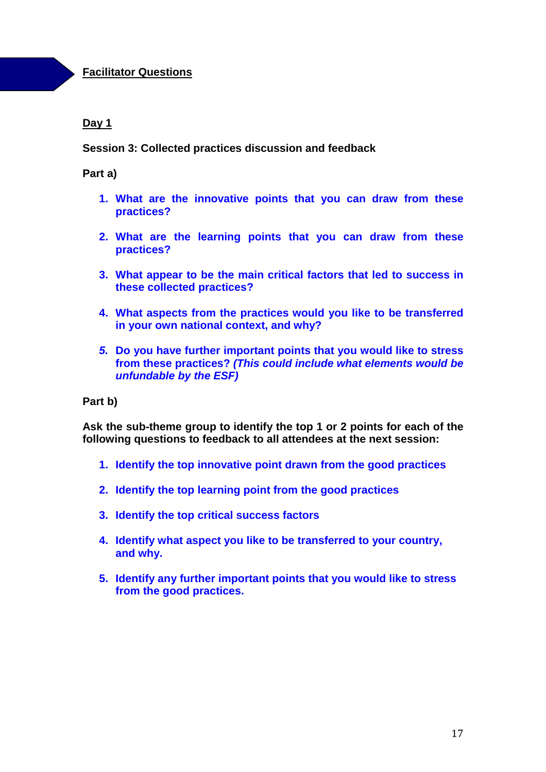### **Facilitator Questions**

### **Day 1**

### **Session 3: Collected practices discussion and feedback**

### **Part a)**

- **1. What are the innovative points that you can draw from these practices?**
- **2. What are the learning points that you can draw from these practices?**
- **3. What appear to be the main critical factors that led to success in these collected practices?**
- **4. What aspects from the practices would you like to be transferred in your own national context, and why?**
- **5. Do you have further important points that you would like to stress from these practices? (This could include what elements would be unfundable by the ESF)**

#### **Part b)**

**Ask the sub-theme group to identify the top 1 or 2 points for each of the following questions to feedback to all attendees at the next session:** 

- **1. Identify the top innovative point drawn from the good practices**
- **2. Identify the top learning point from the good practices**
- **3. Identify the top critical success factors**
- **4. Identify what aspect you like to be transferred to your country, and why.**
- **5. Identify any further important points that you would like to stress from the good practices.**